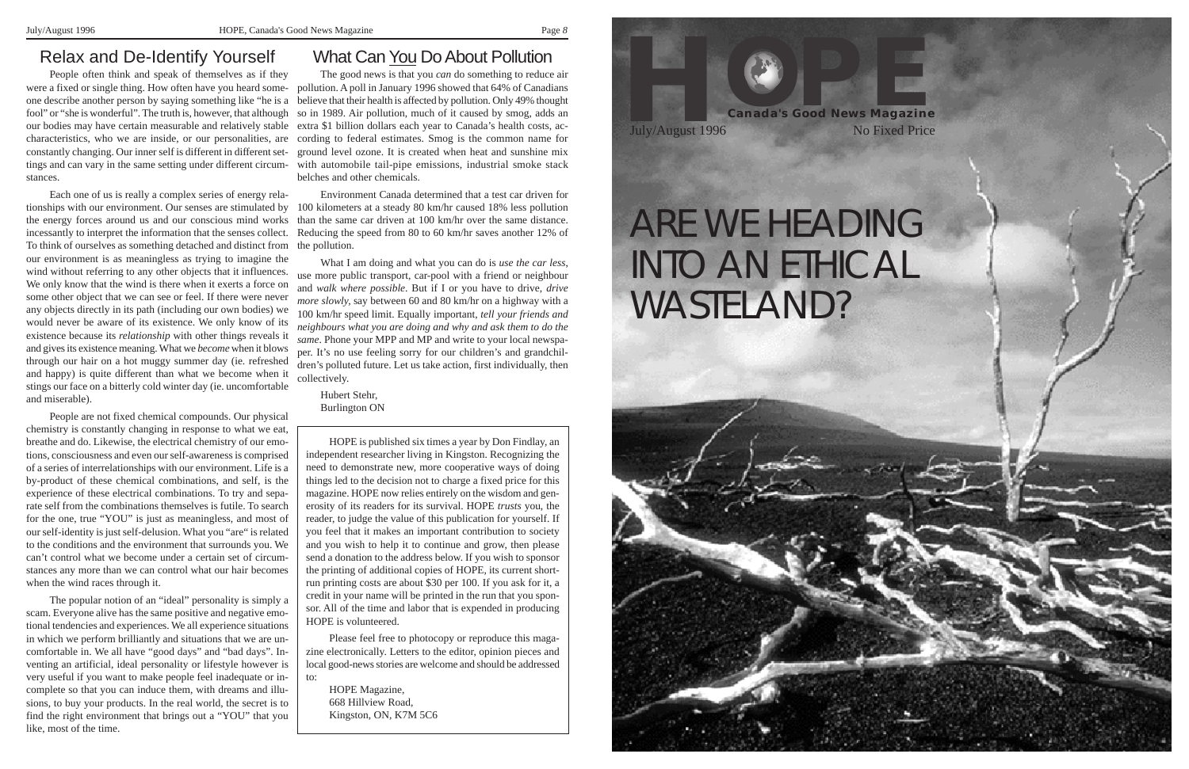### Relax and De-Identify Yourself

People often think and speak of themselves as if they fool" or "she is wonderful". The truth is, however, that although constantly changing. Our inner self is different in different settings and can vary in the same setting under different circumstances.

Each one of us is really a complex series of energy relathe energy forces around us and our conscious mind works incessantly to interpret the information that the senses collect. To think of ourselves as something detached and distinct from the pollution. our environment is as meaningless as trying to imagine the wind without referring to any other objects that it influences. We only know that the wind is there when it exerts a force on some other object that we can see or feel. If there were never any objects directly in its path (including our own bodies) we would never be aware of its existence. We only know of its existence because its *relationship* with other things reveals it and gives its existence meaning. What we *become* when it blows through our hair on a hot muggy summer day (ie. refreshed and happy) is quite different than what we become when it stings our face on a bitterly cold winter day (ie. uncomfortable and miserable).

were a fixed or single thing. How often have you heard some-pollution. A poll in January 1996 showed that 64% of Canadians one describe another person by saying something like "he is a believe that their health is affected by pollution. Only 49% thought our bodies may have certain measurable and relatively stable extra \$1 billion dollars each year to Canada's health costs, accharacteristics, who we are inside, or our personalities, are cording to federal estimates. Smog is the common name for The good news is that you *can* do something to reduce air so in 1989. Air pollution, much of it caused by smog, adds an ground level ozone. It is created when heat and sunshine mix with automobile tail-pipe emissions, industrial smoke stack belches and other chemicals.

People are not fixed chemical compounds. Our physical chemistry is constantly changing in response to what we eat, breathe and do. Likewise, the electrical chemistry of our emotions, consciousness and even our self-awareness is comprised of a series of interrelationships with our environment. Life is a by-product of these chemical combinations, and self, is the experience of these electrical combinations. To try and separate self from the combinations themselves is futile. To search for the one, true "YOU" is just as meaningless, and most of our self-identity is just self-delusion. What you "are" is related to the conditions and the environment that surrounds you. We can't control what we become under a certain set of circumstances any more than we can control what our hair becomes when the wind races through it.

tionships with our environment. Our senses are stimulated by 100 kilometers at a steady 80 km/hr caused 18% less pollution Environment Canada determined that a test car driven for than the same car driven at 100 km/hr over the same distance. Reducing the speed from 80 to 60 km/hr saves another 12% of

The popular notion of an "ideal" personality is simply a scam. Everyone alive has the same positive and negative emotional tendencies and experiences. We all experience situations in which we perform brilliantly and situations that we are uncomfortable in. We all have "good days" and "bad days". Inventing an artificial, ideal personality or lifestyle however is very useful if you want to make people feel inadequate or incomplete so that you can induce them, with dreams and illusions, to buy your products. In the real world, the secret is to find the right environment that brings out a "YOU" that you like, most of the time.

### **What Can You Do About Pollution**

What I am doing and what you can do is *use the car less*, use more public transport, car-pool with a friend or neighbour and *walk where possible*. But if I or you have to drive, *drive more slowly,* say between 60 and 80 km/hr on a highway with a 100 km/hr speed limit. Equally important, *tell your friends and neighbours what you are doing and why and ask them to do the same*. Phone your MPP and MP and write to your local newspaper. It's no use feeling sorry for our children's and grandchildren's polluted future. Let us take action, first individually, then collectively.

Hubert Stehr, Burlington ON

HOPE is published six times a year by Don Findlay, an independent researcher living in Kingston. Recognizing the need to demonstrate new, more cooperative ways of doing things led to the decision not to charge a fixed price for this magazine. HOPE now relies entirely on the wisdom and generosity of its readers for its survival. HOPE *trusts* you, the reader, to judge the value of this publication for yourself. If you feel that it makes an important contribution to society and you wish to help it to continue and grow, then please send a donation to the address below. If you wish to sponsor the printing of additional copies of HOPE, its current shortrun printing costs are about \$30 per 100. If you ask for it, a credit in your name will be printed in the run that you sponsor. All of the time and labor that is expended in producing HOPE is volunteered.

Please feel free to photocopy or reproduce this magazine electronically. Letters to the editor, opinion pieces and local good-news stories are welcome and should be addressed to:

HOPE Magazine, 668 Hillview Road, Kingston, ON, K7M 5C6





# WASTELAND?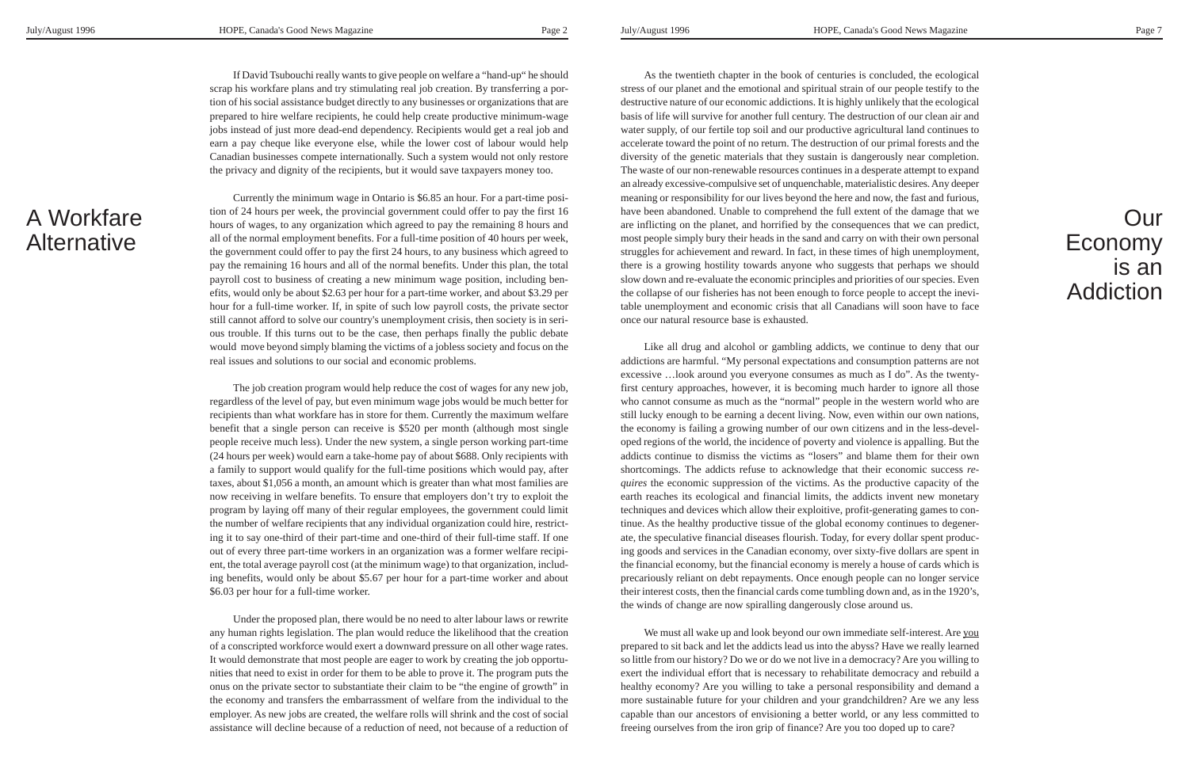If David Tsubouchi really wants to give people on welfare a "hand-up" he should scrap his workfare plans and try stimulating real job creation. By transferring a portion of his social assistance budget directly to any businesses or organizations that are prepared to hire welfare recipients, he could help create productive minimum-wage jobs instead of just more dead-end dependency. Recipients would get a real job and earn a pay cheque like everyone else, while the lower cost of labour would help Canadian businesses compete internationally. Such a system would not only restore the privacy and dignity of the recipients, but it would save taxpayers money too.

 $\epsilon$  between the society is the full-time worker. If, in spite of such low payroll costs, the private sector Currently the minimum wage in Ontario is \$6.85 an hour. For a part-time position of 24 hours per week, the provincial government could offer to pay the first 16 hours of wages, to any organization which agreed to pay the remaining 8 hours and all of the normal employment benefits. For a full-time position of 40 hours per week, the government could offer to pay the first 24 hours, to any business which agreed to pay the remaining 16 hours and all of the normal benefits. Under this plan, the total payroll cost to business of creating a new minimum wage position, including benefits, would only be about \$2.63 per hour for a part-time worker, and about \$3.29 per still cannot afford to solve our country's unemployment crisis, then society is in serious trouble. If this turns out to be the case, then perhaps finally the public debate would move beyond simply blaming the victims of a jobless society and focus on the real issues and solutions to our social and economic problems.

The job creation program would help reduce the cost of wages for any new job, regardless of the level of pay, but even minimum wage jobs would be much better for recipients than what workfare has in store for them. Currently the maximum welfare benefit that a single person can receive is \$520 per month (although most single people receive much less). Under the new system, a single person working part-time (24 hours per week) would earn a take-home pay of about \$688. Only recipients with a family to support would qualify for the full-time positions which would pay, after taxes, about \$1,056 a month, an amount which is greater than what most families are now receiving in welfare benefits. To ensure that employers don't try to exploit the program by laying off many of their regular employees, the government could limit the number of welfare recipients that any individual organization could hire, restricting it to say one-third of their part-time and one-third of their full-time staff. If one out of every three part-time workers in an organization was a former welfare recipient, the total average payroll cost (at the minimum wage) to that organization, including benefits, would only be about \$5.67 per hour for a part-time worker and about \$6.03 per hour for a full-time worker.

Under the proposed plan, there would be no need to alter labour laws or rewrite any human rights legislation. The plan would reduce the likelihood that the creation of a conscripted workforce would exert a downward pressure on all other wage rates. It would demonstrate that most people are eager to work by creating the job opportunities that need to exist in order for them to be able to prove it. The program puts the onus on the private sector to substantiate their claim to be "the engine of growth" in the economy and transfers the embarrassment of welfare from the individual to the employer. As new jobs are created, the welfare rolls will shrink and the cost of social assistance will decline because of a reduction of need, not because of a reduction of

A Workfare **Alternative** 

As the twentieth chapter in the book of centuries is concluded, the ecological stress of our planet and the emotional and spiritual strain of our people testify to the destructive nature of our economic addictions. It is highly unlikely that the ecological basis of life will survive for another full century. The destruction of our clean air and water supply, of our fertile top soil and our productive agricultural land continues to accelerate toward the point of no return. The destruction of our primal forests and the diversity of the genetic materials that they sustain is dangerously near completion. The waste of our non-renewable resources continues in a desperate attempt to expand an already excessive-compulsive set of unquenchable, materialistic desires. Any deeper meaning or responsibility for our lives beyond the here and now, the fast and furious, have been abandoned. Unable to comprehend the full extent of the damage that we are inflicting on the planet, and horrified by the consequences that we can predict, most people simply bury their heads in the sand and carry on with their own personal struggles for achievement and reward. In fact, in these times of high unemployment, there is a growing hostility towards anyone who suggests that perhaps we should slow down and re-evaluate the economic principles and priorities of our species. Even the collapse of our fisheries has not been enough to force people to accept the inevitable unemployment and economic crisis that all Canadians will soon have to face once our natural resource base is exhausted.

Like all drug and alcohol or gambling addicts, we continue to deny that our addictions are harmful. "My personal expectations and consumption patterns are not excessive …look around you everyone consumes as much as I do". As the twentyfirst century approaches, however, it is becoming much harder to ignore all those who cannot consume as much as the "normal" people in the western world who are still lucky enough to be earning a decent living. Now, even within our own nations, the economy is failing a growing number of our own citizens and in the less-developed regions of the world, the incidence of poverty and violence is appalling. But the addicts continue to dismiss the victims as "losers" and blame them for their own shortcomings. The addicts refuse to acknowledge that their economic success *requires* the economic suppression of the victims. As the productive capacity of the earth reaches its ecological and financial limits, the addicts invent new monetary techniques and devices which allow their exploitive, profit-generating games to continue. As the healthy productive tissue of the global economy continues to degenerate, the speculative financial diseases flourish. Today, for every dollar spent producing goods and services in the Canadian economy, over sixty-five dollars are spent in the financial economy, but the financial economy is merely a house of cards which is precariously reliant on debt repayments. Once enough people can no longer service their interest costs, then the financial cards come tumbling down and, as in the 1920's, the winds of change are now spiralling dangerously close around us.

We must all wake up and look beyond our own immediate self-interest. Are you prepared to sit back and let the addicts lead us into the abyss? Have we really learned so little from our history? Do we or do we not live in a democracy? Are you willing to exert the individual effort that is necessary to rehabilitate democracy and rebuild a healthy economy? Are you willing to take a personal responsibility and demand a more sustainable future for your children and your grandchildren? Are we any less capable than our ancestors of envisioning a better world, or any less committed to freeing ourselves from the iron grip of finance? Are you too doped up to care?

# Our Economy is an Addiction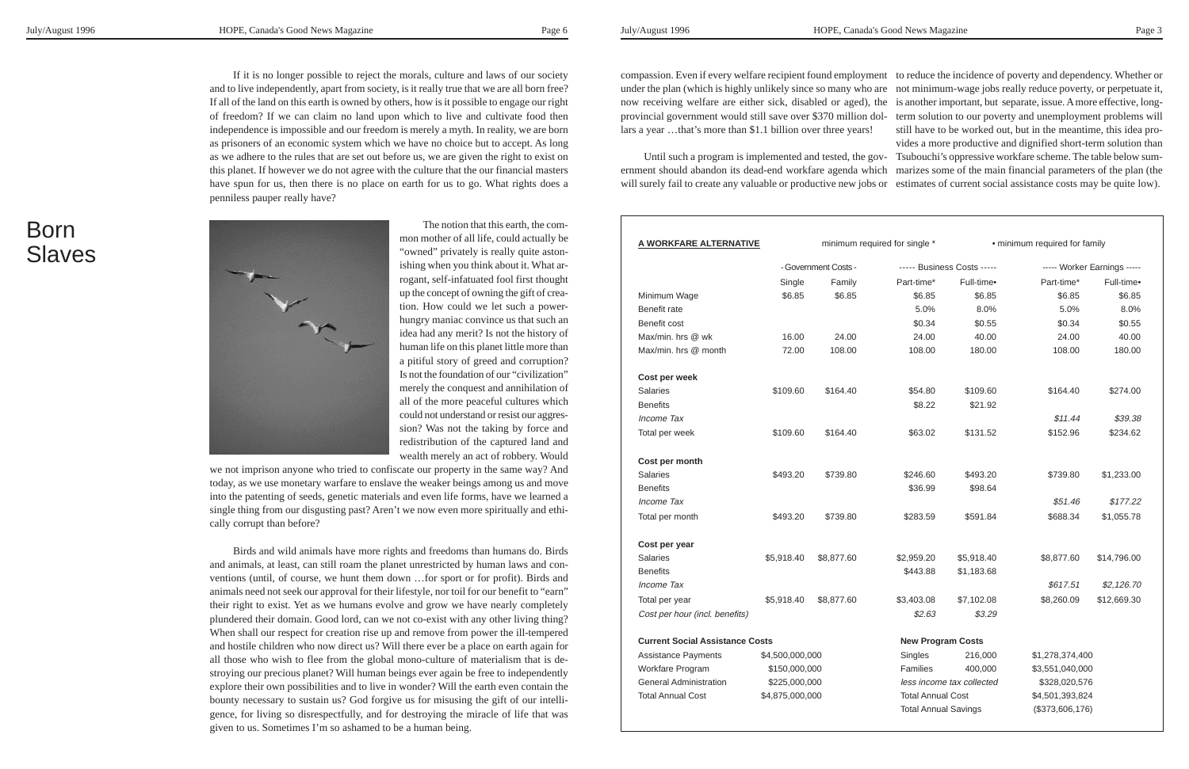If it is no longer possible to reject the morals, culture and laws of our society and to live independently, apart from society, is it really true that we are all born free? If all of the land on this earth is owned by others, how is it possible to engage our right of freedom? If we can claim no land upon which to live and cultivate food then independence is impossible and our freedom is merely a myth. In reality, we are born as prisoners of an economic system which we have no choice but to accept. As long as we adhere to the rules that are set out before us, we are given the right to exist on this planet. If however we do not agree with the culture that the our financial masters have spun for us, then there is no place on earth for us to go. What rights does a penniless pauper really have?

> The notion that this earth, the common mother of all life, could actually be "owned" privately is really quite astonishing when you think about it. What arrogant, self-infatuated fool first thought up the concept of owning the gift of creation. How could we let such a powerhungry maniac convince us that such an idea had any merit? Is not the history of human life on this planet little more than a pitiful story of greed and corruption? Is not the foundation of our "civilization" merely the conquest and annihilation of all of the more peaceful cultures which could not understand or resist our aggression? Was not the taking by force and redistribution of the captured land and wealth merely an act of robbery. Would

## Born **Slaves**



we not imprison anyone who tried to confiscate our property in the same way? And today, as we use monetary warfare to enslave the weaker beings among us and move into the patenting of seeds, genetic materials and even life forms, have we learned a single thing from our disgusting past? Aren't we now even more spiritually and ethically corrupt than before?

Birds and wild animals have more rights and freedoms than humans do. Birds and animals, at least, can still roam the planet unrestricted by human laws and conventions (until, of course, we hunt them down …for sport or for profit). Birds and animals need not seek our approval for their lifestyle, nor toil for our benefit to "earn" their right to exist. Yet as we humans evolve and grow we have nearly completely plundered their domain. Good lord, can we not co-exist with any other living thing? When shall our respect for creation rise up and remove from power the ill-tempered and hostile children who now direct us? Will there ever be a place on earth again for all those who wish to flee from the global mono-culture of materialism that is destroying our precious planet? Will human beings ever again be free to independently explore their own possibilities and to live in wonder? Will the earth even contain the bounty necessary to sustain us? God forgive us for misusing the gift of our intelligence, for living so disrespectfully, and for destroying the miracle of life that was given to us. Sometimes I'm so ashamed to be a human being.

compassion. Even if every welfare recipient found employment to reduce the incidence of poverty and dependency. Whether or under the plan (which is highly unlikely since so many who are not minimum-wage jobs really reduce poverty, or perpetuate it, now receiving welfare are either sick, disabled or aged), the is another important, but separate, issue. A more effective, longprovincial government would still save over \$370 million dol-term solution to our poverty and unemployment problems will lars a year …that's more than \$1.1 billion over three years! Until such a program is implemented and tested, the gov-Tsubouchi's oppressive workfare scheme. The table below sumernment should abandon its dead-end workfare agenda which marizes some of the main financial parameters of the plan (the still have to be worked out, but in the meantime, this idea provides a more productive and dignified short-term solution than

will surely fail to create any valuable or productive new jobs or estimates of current social assistance costs may be quite low).

| A WORKFARE ALTERNATIVE                 |                      | minimum required for single * |                            | · minimum required for family |                             |             |
|----------------------------------------|----------------------|-------------------------------|----------------------------|-------------------------------|-----------------------------|-------------|
|                                        | - Government Costs - |                               | ----- Business Costs ----- |                               | ----- Worker Earnings ----- |             |
|                                        | Single               | Family                        | Part-time*                 | Full-time•                    | Part-time*                  | Full-time•  |
| Minimum Wage                           | \$6.85               | \$6.85                        | \$6.85                     | \$6.85                        | \$6.85                      | \$6.85      |
| Benefit rate                           |                      |                               | 5.0%                       | 8.0%                          | 5.0%                        | 8.0%        |
| Benefit cost                           |                      |                               | \$0.34                     | \$0.55                        | \$0.34                      | \$0.55      |
| Max/min. hrs @ wk                      | 16.00                | 24.00                         | 24.00                      | 40.00                         | 24.00                       | 40.00       |
| Max/min, hrs @ month                   | 72.00                | 108.00                        | 108.00                     | 180.00                        | 108.00                      | 180.00      |
| Cost per week                          |                      |                               |                            |                               |                             |             |
| <b>Salaries</b>                        | \$109.60             | \$164.40                      | \$54.80                    | \$109.60                      | \$164.40                    | \$274.00    |
| <b>Benefits</b>                        |                      |                               | \$8.22                     | \$21.92                       |                             |             |
| Income Tax                             |                      |                               |                            |                               | \$11.44                     | \$39.38     |
| Total per week                         | \$109.60             | \$164.40                      | \$63.02                    | \$131.52                      | \$152.96                    | \$234.62    |
| Cost per month                         |                      |                               |                            |                               |                             |             |
| <b>Salaries</b>                        | \$493.20             | \$739.80                      | \$246.60                   | \$493.20                      | \$739.80                    | \$1,233.00  |
| <b>Benefits</b>                        |                      |                               | \$36.99                    | \$98.64                       |                             |             |
| Income Tax                             |                      |                               |                            |                               | \$51.46                     | \$177.22    |
| Total per month                        | \$493.20             | \$739.80                      | \$283.59                   | \$591.84                      | \$688.34                    | \$1,055.78  |
| Cost per year                          |                      |                               |                            |                               |                             |             |
| <b>Salaries</b>                        | \$5,918.40           | \$8,877.60                    | \$2,959.20                 | \$5,918.40                    | \$8,877.60                  | \$14,796.00 |
| <b>Benefits</b>                        |                      |                               | \$443.88                   | \$1,183.68                    |                             |             |
| Income Tax                             |                      |                               |                            |                               | \$617.51                    | \$2,126.70  |
| Total per year                         | \$5,918.40           | \$8,877.60                    | \$3,403.08                 | \$7,102.08                    | \$8,260.09                  | \$12,669.30 |
| Cost per hour (incl. benefits)         |                      |                               | \$2.63                     | \$3.29                        |                             |             |
| <b>Current Social Assistance Costs</b> |                      | <b>New Program Costs</b>      |                            |                               |                             |             |
| <b>Assistance Payments</b>             | \$4,500,000,000      |                               | Singles                    | 216,000                       | \$1,278,374,400             |             |
| Workfare Program                       | \$150,000,000        |                               | <b>Families</b>            | 400,000                       | \$3,551,040,000             |             |
| <b>General Administration</b>          | \$225,000,000        |                               | less income tax collected  |                               | \$328,020,576               |             |
| <b>Total Annual Cost</b>               | \$4,875,000,000      |                               | <b>Total Annual Cost</b>   |                               | \$4,501,393,824             |             |
|                                        |                      |                               |                            | <b>Total Annual Savings</b>   | (\$373,606,176)             |             |